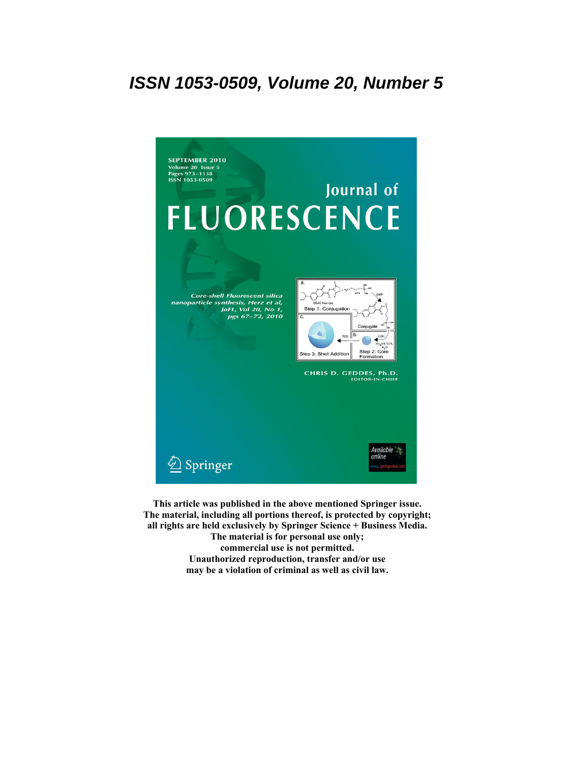# **ISSN 1053-0509, Volume 20, Number 5**



**This article was published in the above mentioned Springer issue. The material, including all portions thereof, is protected by copyright; all rights are held exclusively by Springer Science + Business Media. The material is for personal use only; commercial use is not permitted. Unauthorized reproduction, transfer and/or use**

**may be a violation of criminal as well as civil law.**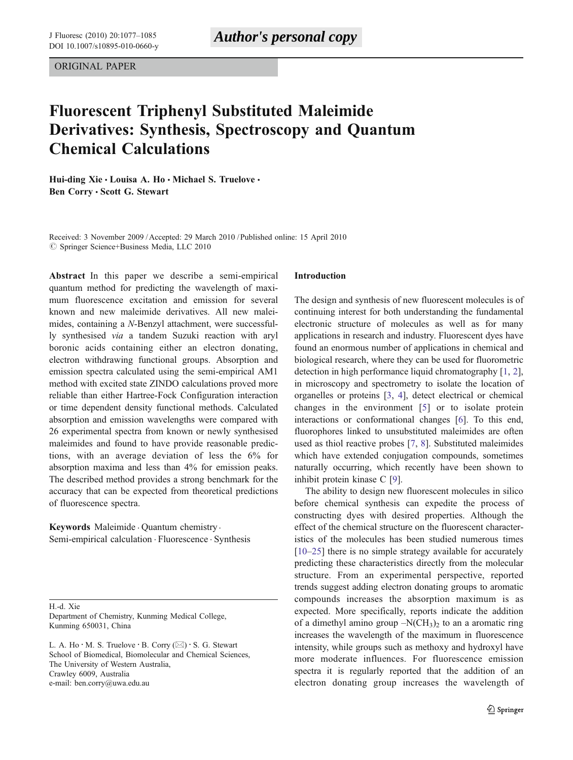ORIGINAL PAPER

# Fluorescent Triphenyl Substituted Maleimide Derivatives: Synthesis, Spectroscopy and Quantum Chemical Calculations

Hui-ding Xie  $\cdot$  Louisa A. Ho  $\cdot$  Michael S. Truelove  $\cdot$ Ben Corry · Scott G. Stewart

Received: 3 November 2009 / Accepted: 29 March 2010 / Published online: 15 April 2010  $©$  Springer Science+Business Media, LLC 2010

Abstract In this paper we describe a semi-empirical quantum method for predicting the wavelength of maximum fluorescence excitation and emission for several known and new maleimide derivatives. All new maleimides, containing a N-Benzyl attachment, were successfully synthesised via a tandem Suzuki reaction with aryl boronic acids containing either an electron donating, electron withdrawing functional groups. Absorption and emission spectra calculated using the semi-empirical AM1 method with excited state ZINDO calculations proved more reliable than either Hartree-Fock Configuration interaction or time dependent density functional methods. Calculated absorption and emission wavelengths were compared with 26 experimental spectra from known or newly synthesised maleimides and found to have provide reasonable predictions, with an average deviation of less the 6% for absorption maxima and less than 4% for emission peaks. The described method provides a strong benchmark for the accuracy that can be expected from theoretical predictions of fluorescence spectra.

Keywords Maleimide . Quantum chemistry . Semi-empirical calculation . Fluorescence . Synthesis

H.-d. Xie

Department of Chemistry, Kunming Medical College, Kunming 650031, China

L. A. Ho  $\cdot$  M. S. Truelove  $\cdot$  B. Corry ( $\boxtimes$ )  $\cdot$  S. G. Stewart School of Biomedical, Biomolecular and Chemical Sciences, The University of Western Australia, Crawley 6009, Australia e-mail: ben.corry@uwa.edu.au

### Introduction

The design and synthesis of new fluorescent molecules is of continuing interest for both understanding the fundamental electronic structure of molecules as well as for many applications in research and industry. Fluorescent dyes have found an enormous number of applications in chemical and biological research, where they can be used for fluorometric detection in high performance liquid chromatography [\[1](#page-8-0), [2\]](#page-8-0), in microscopy and spectrometry to isolate the location of organelles or proteins [\[3](#page-8-0), [4\]](#page-8-0), detect electrical or chemical changes in the environment [[5](#page-8-0)] or to isolate protein interactions or conformational changes [[6](#page-8-0)]. To this end, fluorophores linked to unsubstituted maleimides are often used as thiol reactive probes [[7,](#page-8-0) [8](#page-8-0)]. Substituted maleimides which have extended conjugation compounds, sometimes naturally occurring, which recently have been shown to inhibit protein kinase C [\[9](#page-8-0)].

The ability to design new fluorescent molecules in silico before chemical synthesis can expedite the process of constructing dyes with desired properties. Although the effect of the chemical structure on the fluorescent characteristics of the molecules has been studied numerous times [\[10](#page-8-0)–[25](#page-9-0)] there is no simple strategy available for accurately predicting these characteristics directly from the molecular structure. From an experimental perspective, reported trends suggest adding electron donating groups to aromatic compounds increases the absorption maximum is as expected. More specifically, reports indicate the addition of a dimethyl amino group  $-N(CH_3)_2$  to an a aromatic ring increases the wavelength of the maximum in fluorescence intensity, while groups such as methoxy and hydroxyl have more moderate influences. For fluorescence emission spectra it is regularly reported that the addition of an electron donating group increases the wavelength of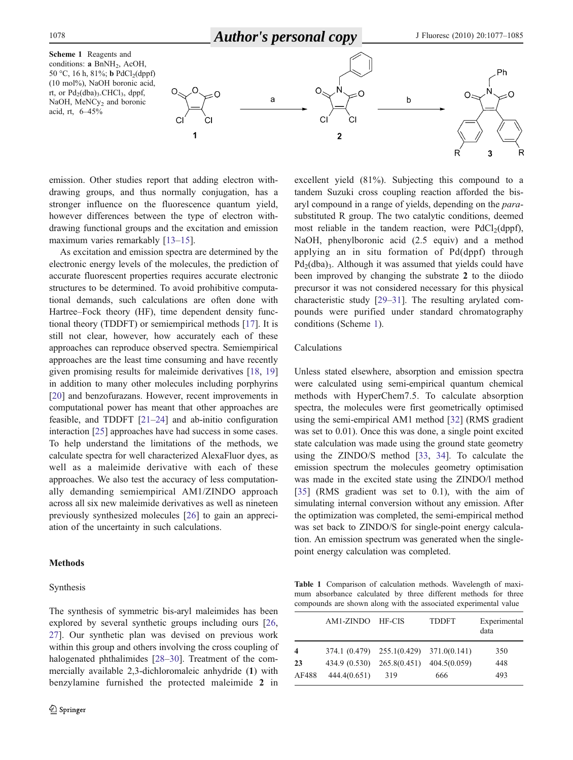

<span id="page-2-0"></span>

emission. Other studies report that adding electron withdrawing groups, and thus normally conjugation, has a stronger influence on the fluorescence quantum yield, however differences between the type of electron withdrawing functional groups and the excitation and emission maximum varies remarkably [[13](#page-8-0)–[15\]](#page-8-0).

As excitation and emission spectra are determined by the electronic energy levels of the molecules, the prediction of accurate fluorescent properties requires accurate electronic structures to be determined. To avoid prohibitive computational demands, such calculations are often done with Hartree–Fock theory (HF), time dependent density functional theory (TDDFT) or semiempirical methods [\[17](#page-8-0)]. It is still not clear, however, how accurately each of these approaches can reproduce observed spectra. Semiempirical approaches are the least time consuming and have recently given promising results for maleimide derivatives [[18,](#page-8-0) [19\]](#page-8-0) in addition to many other molecules including porphyrins [\[20](#page-8-0)] and benzofurazans. However, recent improvements in computational power has meant that other approaches are feasible, and TDDFT [[21](#page-8-0)–[24\]](#page-8-0) and ab-initio configuration interaction [[25\]](#page-9-0) approaches have had success in some cases. To help understand the limitations of the methods, we calculate spectra for well characterized AlexaFluor dyes, as well as a maleimide derivative with each of these approaches. We also test the accuracy of less computationally demanding semiempirical AM1/ZINDO approach across all six new maleimide derivatives as well as nineteen previously synthesized molecules [[26\]](#page-9-0) to gain an appreciation of the uncertainty in such calculations.

## **Methods**

#### Synthesis

The synthesis of symmetric bis-aryl maleimides has been explored by several synthetic groups including ours [[26,](#page-9-0) [27\]](#page-9-0). Our synthetic plan was devised on previous work within this group and others involving the cross coupling of halogenated phthalimides [\[28](#page-9-0)–[30](#page-9-0)]. Treatment of the commercially available 2,3-dichloromaleic anhydride (1) with benzylamine furnished the protected maleimide 2 in excellent yield (81%). Subjecting this compound to a tandem Suzuki cross coupling reaction afforded the bisaryl compound in a range of yields, depending on the parasubstituted R group. The two catalytic conditions, deemed most reliable in the tandem reaction, were  $PdCl<sub>2</sub>(dppf)$ , NaOH, phenylboronic acid (2.5 equiv) and a method applying an in situ formation of Pd(dppf) through  $Pd_2(dba)$ <sub>3</sub>. Although it was assumed that yields could have been improved by changing the substrate 2 to the diiodo precursor it was not considered necessary for this physical characteristic study [[29](#page-9-0)–[31\]](#page-9-0). The resulting arylated compounds were purified under standard chromatography conditions (Scheme 1).

### Calculations

Unless stated elsewhere, absorption and emission spectra were calculated using semi-empirical quantum chemical methods with HyperChem7.5. To calculate absorption spectra, the molecules were first geometrically optimised using the semi-empirical AM1 method [\[32](#page-9-0)] (RMS gradient was set to 0.01). Once this was done, a single point excited state calculation was made using the ground state geometry using the ZINDO/S method [\[33](#page-9-0), [34\]](#page-9-0). To calculate the emission spectrum the molecules geometry optimisation was made in the excited state using the ZINDO/l method [\[35](#page-9-0)] (RMS gradient was set to 0.1), with the aim of simulating internal conversion without any emission. After the optimization was completed, the semi-empirical method was set back to ZINDO/S for single-point energy calculation. An emission spectrum was generated when the singlepoint energy calculation was completed.

Table 1 Comparison of calculation methods. Wavelength of maximum absorbance calculated by three different methods for three compounds are shown along with the associated experimental value

|                         | AM1-ZINDO HF-CIS |                                         | <b>TDDFT</b> | Experimental<br>data |
|-------------------------|------------------|-----------------------------------------|--------------|----------------------|
| $\overline{\mathbf{4}}$ |                  | 374.1 (0.479) 255.1(0.429) 371.0(0.141) |              | 350                  |
| 23                      |                  | 434.9 (0.530) 265.8(0.451) 404.5(0.059) |              | 448                  |
| AF488                   | 444.4(0.651)     | 319                                     | 666          | 493                  |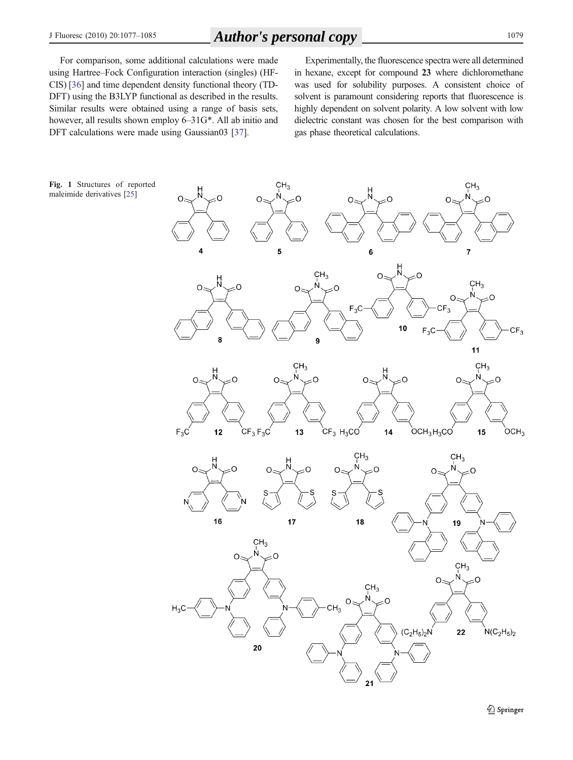# <span id="page-3-0"></span>J Fluoresc (2010) 20:1077–<sup>1085</sup> <sup>1079</sup> *Author's personal copy*

For comparison, some additional calculations were made using Hartree–Fock Configuration interaction (singles) (HF-CIS) [[36](#page-9-0)] and time dependent density functional theory (TD-DFT) using the B3LYP functional as described in the results. Similar results were obtained using a range of basis sets, however, all results shown employ 6–31G\*. All ab initio and DFT calculations were made using Gaussian03 [[37](#page-9-0)].

Experimentally, the fluorescence spectra were all determined in hexane, except for compound 23 where dichloromethane was used for solubility purposes. A consistent choice of solvent is paramount considering reports that fluorescence is highly dependent on solvent polarity. A low solvent with low dielectric constant was chosen for the best comparison with gas phase theoretical calculations.

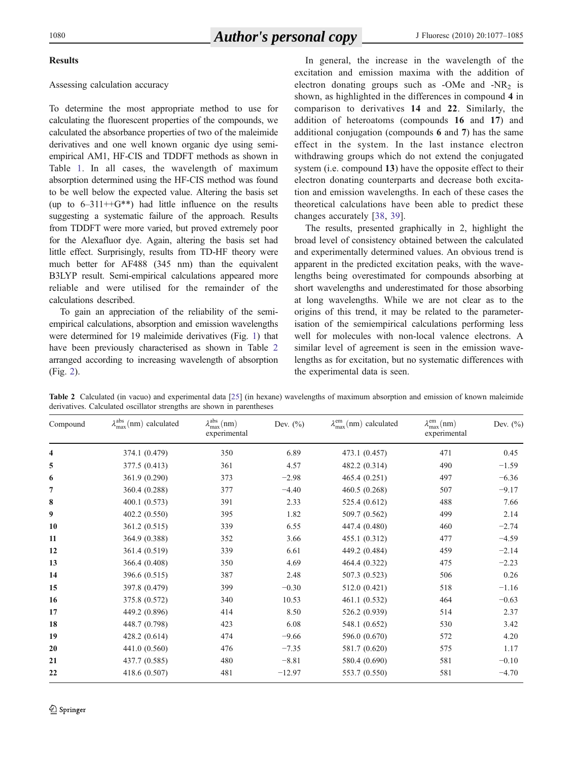## Results

# Assessing calculation accuracy

To determine the most appropriate method to use for calculating the fluorescent properties of the compounds, we calculated the absorbance properties of two of the maleimide derivatives and one well known organic dye using semiempirical AM1, HF-CIS and TDDFT methods as shown in Table [1](#page-2-0). In all cases, the wavelength of maximum absorption determined using the HF-CIS method was found to be well below the expected value. Altering the basis set (up to  $6-311++G^{**}$ ) had little influence on the results suggesting a systematic failure of the approach. Results from TDDFT were more varied, but proved extremely poor for the Alexafluor dye. Again, altering the basis set had little effect. Surprisingly, results from TD-HF theory were much better for AF488 (345 nm) than the equivalent B3LYP result. Semi-empirical calculations appeared more reliable and were utilised for the remainder of the calculations described.

To gain an appreciation of the reliability of the semiempirical calculations, absorption and emission wavelengths were determined for 19 maleimide derivatives (Fig. [1](#page-3-0)) that have been previously characterised as shown in Table 2 arranged according to increasing wavelength of absorption (Fig. [2\)](#page-5-0).

In general, the increase in the wavelength of the excitation and emission maxima with the addition of electron donating groups such as  $-Me$  and  $-NR<sub>2</sub>$  is shown, as highlighted in the differences in compound 4 in comparison to derivatives 14 and 22. Similarly, the addition of heteroatoms (compounds 16 and 17) and additional conjugation (compounds 6 and 7) has the same effect in the system. In the last instance electron withdrawing groups which do not extend the conjugated system (i.e. compound 13) have the opposite effect to their electron donating counterparts and decrease both excitation and emission wavelengths. In each of these cases the theoretical calculations have been able to predict these changes accurately [[38](#page-9-0), [39](#page-9-0)].

The results, presented graphically in 2, highlight the broad level of consistency obtained between the calculated and experimentally determined values. An obvious trend is apparent in the predicted excitation peaks, with the wavelengths being overestimated for compounds absorbing at short wavelengths and underestimated for those absorbing at long wavelengths. While we are not clear as to the origins of this trend, it may be related to the parameterisation of the semiempirical calculations performing less well for molecules with non-local valence electrons. A similar level of agreement is seen in the emission wavelengths as for excitation, but no systematic differences with the experimental data is seen.

Table 2 Calculated (in vacuo) and experimental data [[25](#page-9-0)] (in hexane) wavelengths of maximum absorption and emission of known maleimide derivatives. Calculated oscillator strengths are shown in parentheses

| Compound | $\lambda_{\text{max}}^{\text{abs}}$ (nm) calculated | $\lambda_{\max}^{\text{abs}}(nm)$<br>experimental | Dev. $(\%)$ | $\lambda_{\text{max}}^{\text{em}}$ (nm) calculated | $\lambda_{\max}^{em}(nm)$<br>experimental | Dev. $(\%)$ |
|----------|-----------------------------------------------------|---------------------------------------------------|-------------|----------------------------------------------------|-------------------------------------------|-------------|
| 4        | 374.1 (0.479)                                       | 350                                               | 6.89        | 473.1 (0.457)                                      | 471                                       | 0.45        |
| 5        | 377.5 (0.413)                                       | 361                                               | 4.57        | 482.2 (0.314)                                      | 490                                       | $-1.59$     |
| 6        | 361.9 (0.290)                                       | 373                                               | $-2.98$     | 465.4(0.251)                                       | 497                                       | $-6.36$     |
| 7        | 360.4 (0.288)                                       | 377                                               | $-4.40$     | 460.5 (0.268)                                      | 507                                       | $-9.17$     |
| 8        | 400.1 (0.573)                                       | 391                                               | 2.33        | 525.4 (0.612)                                      | 488                                       | 7.66        |
| 9        | 402.2 (0.550)                                       | 395                                               | 1.82        | 509.7 (0.562)                                      | 499                                       | 2.14        |
| 10       | 361.2 (0.515)                                       | 339                                               | 6.55        | 447.4 (0.480)                                      | 460                                       | $-2.74$     |
| 11       | 364.9 (0.388)                                       | 352                                               | 3.66        | 455.1 (0.312)                                      | 477                                       | $-4.59$     |
| 12       | 361.4 (0.519)                                       | 339                                               | 6.61        | 449.2 (0.484)                                      | 459                                       | $-2.14$     |
| 13       | 366.4 (0.408)                                       | 350                                               | 4.69        | 464.4 (0.322)                                      | 475                                       | $-2.23$     |
| 14       | 396.6 (0.515)                                       | 387                                               | 2.48        | 507.3 (0.523)                                      | 506                                       | 0.26        |
| 15       | 397.8 (0.479)                                       | 399                                               | $-0.30$     | 512.0 (0.421)                                      | 518                                       | $-1.16$     |
| 16       | 375.8 (0.572)                                       | 340                                               | 10.53       | 461.1(0.532)                                       | 464                                       | $-0.63$     |
| 17       | 449.2 (0.896)                                       | 414                                               | 8.50        | 526.2 (0.939)                                      | 514                                       | 2.37        |
| 18       | 448.7 (0.798)                                       | 423                                               | 6.08        | 548.1 (0.652)                                      | 530                                       | 3.42        |
| 19       | 428.2 (0.614)                                       | 474                                               | $-9.66$     | 596.0 (0.670)                                      | 572                                       | 4.20        |
| 20       | 441.0 (0.560)                                       | 476                                               | $-7.35$     | 581.7 (0.620)                                      | 575                                       | 1.17        |
| 21       | 437.7 (0.585)                                       | 480                                               | $-8.81$     | 580.4 (0.690)                                      | 581                                       | $-0.10$     |
| 22       | 418.6 (0.507)                                       | 481                                               | $-12.97$    | 553.7 (0.550)                                      | 581                                       | $-4.70$     |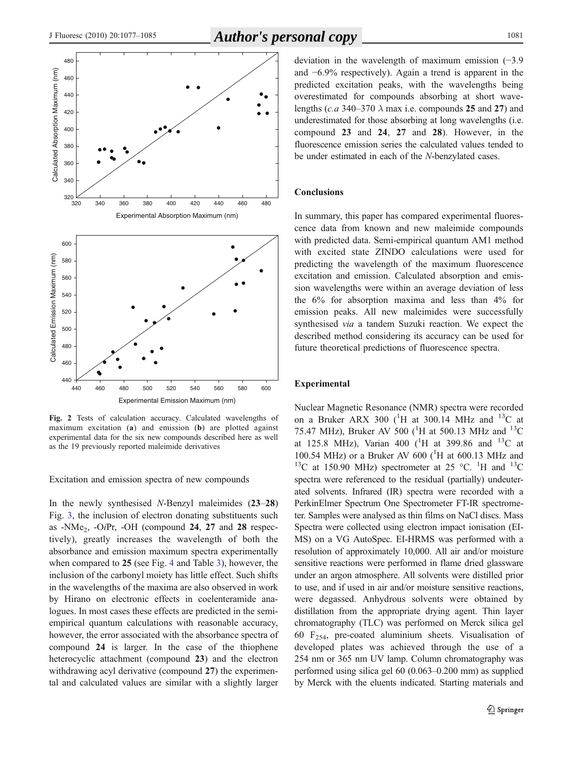<span id="page-5-0"></span>

Fig. 2 Tests of calculation accuracy. Calculated wavelengths of maximum excitation (a) and emission (b) are plotted against experimental data for the six new compounds described here as well as the 19 previously reported maleimide derivatives

Excitation and emission spectra of new compounds

In the newly synthesised N-Benzyl maleimides (23–28) Fig. [3](#page-6-0), the inclusion of electron donating substituents such as -NMe2, -OiPr, -OH (compound 24, 27 and 28 respectively), greatly increases the wavelength of both the absorbance and emission maximum spectra experimentally when compared to 25 (see Fig. [4](#page-7-0) and Table [3\)](#page-7-0), however, the inclusion of the carbonyl moiety has little effect. Such shifts in the wavelengths of the maxima are also observed in work by Hirano on electronic effects in coelenteramide analogues. In most cases these effects are predicted in the semiempirical quantum calculations with reasonable accuracy, however, the error associated with the absorbance spectra of compound 24 is larger. In the case of the thiophene heterocyclic attachment (compound 23) and the electron withdrawing acyl derivative (compound 27) the experimental and calculated values are similar with a slightly larger

deviation in the wavelength of maximum emission (−3.9 and −6.9% respectively). Again a trend is apparent in the predicted excitation peaks, with the wavelengths being overestimated for compounds absorbing at short wavelengths (c.a 340–370  $\lambda$  max i.e. compounds 25 and 27) and underestimated for those absorbing at long wavelengths (i.e. compound 23 and 24, 27 and 28). However, in the fluorescence emission series the calculated values tended to be under estimated in each of the N-benzylated cases.

### **Conclusions**

In summary, this paper has compared experimental fluorescence data from known and new maleimide compounds with predicted data. Semi-empirical quantum AM1 method with excited state ZINDO calculations were used for predicting the wavelength of the maximum fluorescence excitation and emission. Calculated absorption and emission wavelengths were within an average deviation of less the 6% for absorption maxima and less than 4% for emission peaks. All new maleimides were successfully synthesised via a tandem Suzuki reaction. We expect the described method considering its accuracy can be used for future theoretical predictions of fluorescence spectra.

### Experimental

Nuclear Magnetic Resonance (NMR) spectra were recorded on a Bruker ARX 300 ( ${}^{1}$ H at 300.14 MHz and  ${}^{13}$ C at 75.47 MHz), Bruker AV 500 ( ${}^{1}$ H at 500.13 MHz and  ${}^{13}$ C at 125.8 MHz), Varian 400 ( $^{1}$ H at 399.86 and  $^{13}$ C at 100.54 MHz) or a Bruker AV 600 ( $^{1}$ H at 600.13 MHz and <sup>13</sup>C at 150.90 MHz) spectrometer at 25 °C. <sup>1</sup>H and <sup>13</sup>C spectra were referenced to the residual (partially) undeuterated solvents. Infrared (IR) spectra were recorded with a PerkinElmer Spectrum One Spectrometer FT-IR spectrometer. Samples were analysed as thin films on NaCl discs. Mass Spectra were collected using electron impact ionisation (EI-MS) on a VG AutoSpec. EI-HRMS was performed with a resolution of approximately 10,000. All air and/or moisture sensitive reactions were performed in flame dried glassware under an argon atmosphere. All solvents were distilled prior to use, and if used in air and/or moisture sensitive reactions, were degassed. Anhydrous solvents were obtained by distillation from the appropriate drying agent. Thin layer chromatography (TLC) was performed on Merck silica gel 60  $F_{254}$ , pre-coated aluminium sheets. Visualisation of developed plates was achieved through the use of a 254 nm or 365 nm UV lamp. Column chromatography was performed using silica gel 60 (0.063–0.200 mm) as supplied by Merck with the eluents indicated. Starting materials and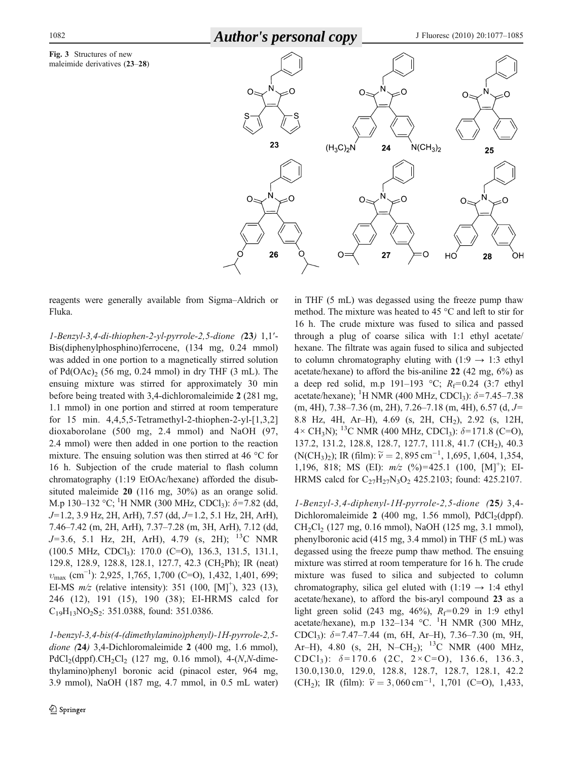<span id="page-6-0"></span>1082 **Author's personal copy** J Fluoresc (2010) 20:1077-1085





reagents were generally available from Sigma–Aldrich or Fluka.

1-Benzyl-3,4-di-thiophen-2-yl-pyrrole-2,5-dione (23) 1,1′- Bis(diphenylphosphino)ferrocene, (134 mg, 0.24 mmol) was added in one portion to a magnetically stirred solution of  $Pd(OAc)$  (56 mg, 0.24 mmol) in dry THF (3 mL). The ensuing mixture was stirred for approximately 30 min before being treated with 3,4-dichloromaleimide 2 (281 mg, 1.1 mmol) in one portion and stirred at room temperature for 15 min. 4,4,5,5-Tetramethyl-2-thiophen-2-yl-[1,3,2] dioxaborolane (500 mg, 2.4 mmol) and NaOH (97, 2.4 mmol) were then added in one portion to the reaction mixture. The ensuing solution was then stirred at 46 °C for 16 h. Subjection of the crude material to flash column chromatography (1:19 EtOAc/hexane) afforded the disubsituted maleimide 20 (116 mg, 30%) as an orange solid. M.p 130–132 °C; <sup>1</sup>H NMR (300 MHz, CDCl<sub>3</sub>):  $\delta$ =7.82 (dd, J=1.2, 3.9 Hz, 2H, ArH), 7.57 (dd, J=1.2, 5.1 Hz, 2H, ArH), 7.46–7.42 (m, 2H, ArH), 7.37–7.28 (m, 3H, ArH), 7.12 (dd,  $J=3.6$ , 5.1 Hz, 2H, ArH), 4.79 (s, 2H); <sup>13</sup>C NMR (100.5 MHz, CDCl<sub>3</sub>): 170.0 (C=O), 136.3, 131.5, 131.1, 129.8, 128.9, 128.8, 128.1, 127.7, 42.3 (CH2Ph); IR (neat)  $v_{\text{max}}$  (cm<sup>-1</sup>): 2,925, 1,765, 1,700 (C=O), 1,432, 1,401, 699; EI-MS  $m/z$  (relative intensity): 351 (100, [M]<sup>+</sup>), 323 (13), 246 (12), 191 (15), 190 (38); EI-HRMS calcd for  $C_{19}H_{13}NO_2S_2$ : 351.0388, found: 351.0386.

1-benzyl-3,4-bis(4-(dimethylamino)phenyl)-1H-pyrrole-2,5 dione (24) 3,4-Dichloromaleimide 2 (400 mg, 1.6 mmol),  $PdCl<sub>2</sub>(dppf).CH<sub>2</sub>Cl<sub>2</sub>$  (127 mg, 0.16 mmol), 4-(N,N-dimethylamino)phenyl boronic acid (pinacol ester, 964 mg, 3.9 mmol), NaOH (187 mg, 4.7 mmol, in 0.5 mL water) in THF (5 mL) was degassed using the freeze pump thaw method. The mixture was heated to 45 °C and left to stir for 16 h. The crude mixture was fused to silica and passed through a plug of coarse silica with 1:1 ethyl acetate/ hexane. The filtrate was again fused to silica and subjected to column chromatography eluting with  $(1:9 \rightarrow 1:3$  ethyl acetate/hexane) to afford the bis-aniline 22 (42 mg, 6%) as a deep red solid, m.p 191–193 °C;  $R_f=0.24$  (3:7 ethyl acetate/hexane); <sup>1</sup>H NMR (400 MHz, CDCl<sub>3</sub>):  $\delta$ =7.45-7.38  $(m, 4H), 7.38-7.36$   $(m, 2H), 7.26-7.18$   $(m, 4H), 6.57$   $(d, J=$ 8.8 Hz, 4H, Ar–H), 4.69 (s, 2H, CH<sub>2</sub>), 2.92 (s, 12H,  $4 \times CH_3N$ ); <sup>13</sup>C NMR (400 MHz, CDCl<sub>3</sub>):  $\delta = 171.8$  (C=O), 137.2, 131.2, 128.8, 128.7, 127.7, 111.8, 41.7 (CH<sub>2</sub>), 40.3 (N(CH<sub>3</sub>)<sub>2</sub>); IR (film):  $\tilde{v} = 2,895 \text{ cm}^{-1}, 1,695, 1,604, 1,354,$ 1,196, 818; MS (EI):  $m/z$  (%)=425.1 (100, [M]<sup>+</sup>); EI-HRMS calcd for  $C_{27}H_{27}N_3O_2$  425.2103; found: 425.2107.

1-Benzyl-3,4-diphenyl-1H-pyrrole-2,5-dione (25) 3,4- Dichloromaleimide 2 (400 mg, 1.56 mmol),  $PdCl<sub>2</sub>(dppf)$ .  $CH_2Cl_2$  (127 mg, 0.16 mmol), NaOH (125 mg, 3.1 mmol), phenylboronic acid (415 mg, 3.4 mmol) in THF (5 mL) was degassed using the freeze pump thaw method. The ensuing mixture was stirred at room temperature for 16 h. The crude mixture was fused to silica and subjected to column chromatography, silica gel eluted with  $(1:19 \rightarrow 1:4$  ethyl acetate/hexane), to afford the bis-aryl compound 23 as a light green solid (243 mg, 46%),  $R_f$ =0.29 in 1:9 ethyl acetate/hexane), m.p 132-134 °C. <sup>1</sup>H NMR (300 MHz, CDCl<sub>3</sub>):  $\delta$ =7.47–7.44 (m, 6H, Ar–H), 7.36–7.30 (m, 9H, Ar–H), 4.80 (s, 2H, N–CH<sub>2</sub>); <sup>13</sup>C NMR (400 MHz, CDCl<sub>3</sub>):  $\delta = 170.6$  (2C,  $2 \times C = 0$ ), 136.6, 136.3, 130.0,130.0, 129.0, 128.8, 128.7, 128.7, 128.1, 42.2 (CH<sub>2</sub>); IR (film):  $\tilde{v} = 3,060 \text{ cm}^{-1}$ , 1,701 (C=O), 1,433,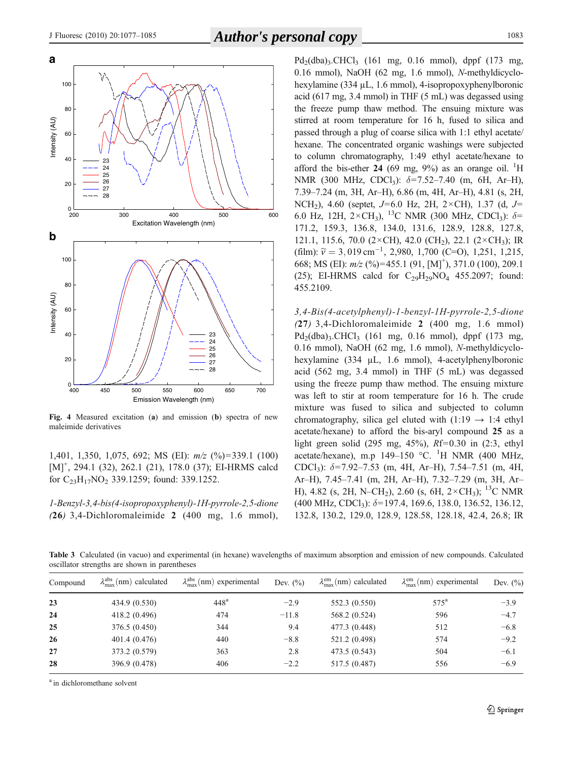<span id="page-7-0"></span>

Fig. 4 Measured excitation (a) and emission (b) spectra of new maleimide derivatives

1,401, 1,350, 1,075, 692; MS (EI): m/z (%)=339.1 (100) [M]<sup>+</sup>, 294.1 (32), 262.1 (21), 178.0 (37); EI-HRMS calcd for C23H17NO2 339.1259; found: 339.1252.

1-Benzyl-3,4-bis(4-isopropoxyphenyl)-1H-pyrrole-2,5-dione (26) 3,4-Dichloromaleimide 2 (400 mg, 1.6 mmol),

 $Pd_2(dba)$ <sub>3</sub>.CHCl<sub>3</sub> (161 mg, 0.16 mmol), dppf (173 mg, 0.16 mmol), NaOH (62 mg, 1.6 mmol), N-methyldicyclohexylamine (334 µL, 1.6 mmol), 4-isopropoxyphenylboronic acid (617 mg, 3.4 mmol) in THF (5 mL) was degassed using the freeze pump thaw method. The ensuing mixture was stirred at room temperature for 16 h, fused to silica and passed through a plug of coarse silica with 1:1 ethyl acetate/ hexane. The concentrated organic washings were subjected to column chromatography, 1:49 ethyl acetate/hexane to afford the bis-ether 24 (69 mg,  $9\%$ ) as an orange oil. <sup>1</sup>H NMR (300 MHz, CDCl<sub>3</sub>):  $\delta = 7.52 - 7.40$  (m, 6H, Ar–H), 7.39–7.24 (m, 3H, Ar–H), 6.86 (m, 4H, Ar–H), 4.81 (s, 2H, NCH<sub>2</sub>), 4.60 (septet,  $J=6.0$  Hz, 2H, 2×CH), 1.37 (d,  $J=$ 6.0 Hz, 12H,  $2 \times CH_3$ ), <sup>13</sup>C NMR (300 MHz, CDCl<sub>3</sub>):  $\delta$ = 171.2, 159.3, 136.8, 134.0, 131.6, 128.9, 128.8, 127.8, 121.1, 115.6, 70.0 (2×CH), 42.0 (CH<sub>2</sub>), 22.1 (2×CH<sub>3</sub>); IR (film):  $\tilde{v} = 3,019 \text{ cm}^{-1}$ , 2,980, 1,700 (C=O), 1,251, 1,215, 668; MS (EI):  $m/z$  (%)=455.1 (91, [M]<sup>+</sup>), 371.0 (100), 209.1 (25); EI-HRMS calcd for  $C_{29}H_{29}NO_4$  455.2097; found: 455.2109.

3,4-Bis(4-acetylphenyl)-1-benzyl-1H-pyrrole-2,5-dione (27) 3,4-Dichloromaleimide 2 (400 mg, 1.6 mmol)  $Pd_2(dba)$ <sub>3</sub>.CHCl<sub>3</sub> (161 mg, 0.16 mmol), dppf (173 mg, 0.16 mmol), NaOH (62 mg, 1.6 mmol), N-methyldicyclohexylamine (334 µL, 1.6 mmol), 4-acetylphenylboronic acid (562 mg, 3.4 mmol) in THF (5 mL) was degassed using the freeze pump thaw method. The ensuing mixture was left to stir at room temperature for 16 h. The crude mixture was fused to silica and subjected to column chromatography, silica gel eluted with  $(1:19 \rightarrow 1:4$  ethyl acetate/hexane) to afford the bis-aryl compound 25 as a light green solid (295 mg,  $45\%$ ),  $Rf=0.30$  in (2:3, ethyl acetate/hexane), m.p  $149-150$  °C. <sup>1</sup>H NMR (400 MHz, CDCl<sub>3</sub>):  $\delta$ =7.92–7.53 (m, 4H, Ar–H), 7.54–7.51 (m, 4H, Ar–H), 7.45–7.41 (m, 2H, Ar–H), 7.32–7.29 (m, 3H, Ar– H), 4.82 (s, 2H, N–CH<sub>2</sub>), 2.60 (s, 6H,  $2 \times CH_3$ ); <sup>13</sup>C NMR  $(400 \text{ MHz}, \text{CDCl}_3)$ :  $\delta$ =197.4, 169.6, 138.0, 136.52, 136.12, 132.8, 130.2, 129.0, 128.9, 128.58, 128.18, 42.4, 26.8; IR

Table 3 Calculated (in vacuo) and experimental (in hexane) wavelengths of maximum absorption and emission of new compounds. Calculated oscillator strengths are shown in parentheses

| Compound | $\lambda_{\rm max}^{\rm abs}$ (nm) calculated | $\lambda_{\max}^{\text{abs}}$ (nm) experimental | Dev. $(\%)$ | $\lambda_{\text{max}}^{\text{em}}$ (nm) calculated | $\lambda_{\text{max}}^{\text{em}}$ (nm) experimental | Dev. $(\%)$ |
|----------|-----------------------------------------------|-------------------------------------------------|-------------|----------------------------------------------------|------------------------------------------------------|-------------|
| 23       | 434.9 (0.530)                                 | 448 <sup>a</sup>                                | $-2.9$      | 552.3 (0.550)                                      | $575^{\rm a}$                                        | $-3.9$      |
| 24       | 418.2 (0.496)                                 | 474                                             | $-11.8$     | 568.2 (0.524)                                      | 596                                                  | $-4.7$      |
| 25       | 376.5(0.450)                                  | 344                                             | 9.4         | 477.3 (0.448)                                      | 512                                                  | $-6.8$      |
| 26       | 401.4 (0.476)                                 | 440                                             | $-8.8$      | 521.2 (0.498)                                      | 574                                                  | $-9.2$      |
| 27       | 373.2 (0.579)                                 | 363                                             | 2.8         | 473.5 (0.543)                                      | 504                                                  | $-6.1$      |
| 28       | 396.9 (0.478)                                 | 406                                             | $-2.2$      | 517.5 (0.487)                                      | 556                                                  | $-6.9$      |

<sup>a</sup> in dichloromethane solvent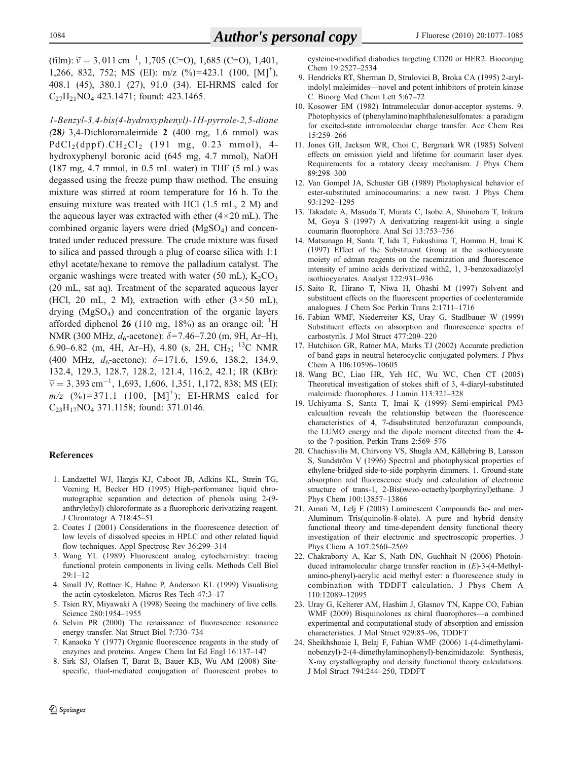<span id="page-8-0"></span> $(\text{film})$ :  $\tilde{v} = 3,011 \text{ cm}^{-1}$ , 1,705 (C=O), 1,685 (C=O), 1,401, 1,266, 832, 752; MS (EI): m/z (%)=423.1 (100, [M]<sup>+</sup>), 408.1 (45), 380.1 (27), 91.0 (34). EI-HRMS calcd for  $C_{27}H_{21}NO_4$  423.1471; found: 423.1465.

1-Benzyl-3,4-bis(4-hydroxyphenyl)-1H-pyrrole-2,5-dione (28) 3,4-Dichloromaleimide 2 (400 mg, 1.6 mmol) was  $PdCl<sub>2</sub>(dppf).CH<sub>2</sub>Cl<sub>2</sub>$  (191 mg, 0.23 mmol), 4hydroxyphenyl boronic acid (645 mg, 4.7 mmol), NaOH  $(187 \text{ mg}, 4.7 \text{ mmol}, \text{in } 0.5 \text{ mL water})$  in THF  $(5 \text{ mL})$  was degassed using the freeze pump thaw method. The ensuing mixture was stirred at room temperature for 16 h. To the ensuing mixture was treated with HCl (1.5 mL, 2 M) and the aqueous layer was extracted with ether  $(4 \times 20 \text{ mL})$ . The combined organic layers were dried (MgSO<sub>4</sub>) and concentrated under reduced pressure. The crude mixture was fused to silica and passed through a plug of coarse silica with 1:1 ethyl acetate/hexane to remove the palladium catalyst. The organic washings were treated with water (50 mL),  $K_2CO_3$ (20 mL, sat aq). Treatment of the separated aqueous layer (HCl, 20 mL, 2 M), extraction with ether  $(3 \times 50 \text{ mL})$ , drying  $(MgSO<sub>4</sub>)$  and concentration of the organic layers afforded diphenol  $26$  (110 mg, 18%) as an orange oil; <sup>1</sup>H NMR (300 MHz,  $d_6$ -acetone):  $\delta$ =7.46–7.20 (m, 9H, Ar–H), 6.90–6.82 (m, 4H, Ar–H), 4.80 (s, 2H, CH<sub>2</sub>; <sup>13</sup>C NMR (400 MHz,  $d_6$ -acetone):  $\delta$ =171.6, 159.6, 138.2, 134.9, 132.4, 129.3, 128.7, 128.2, 121.4, 116.2, 42.1; IR (KBr):  $\widetilde{v} = 3,393 \text{ cm}^{-1}, 1,693, 1,606, 1,351, 1,172,838; \text{MS (EI)}$  $m/z$  (%)=371.1 (100, [M]<sup>+</sup>); EI-HRMS calcd for C<sub>23</sub>H<sub>17</sub>NO<sub>4</sub> 371.1158; found: 371.0146.

### References

- 1. Landzettel WJ, Hargis KJ, Caboot JB, Adkins KL, Strein TG, Veening H, Becker HD (1995) High-performance liquid chromatographic separation and detection of phenols using 2-(9 anthrylethyl) chloroformate as a fluorophoric derivatizing reagent. J Chromatogr A 718:45–51
- 2. Coates J (2001) Considerations in the fluorescence detection of low levels of dissolved species in HPLC and other related liquid flow techniques. Appl Spectrosc Rev 36:299–314
- 3. Wang YL (1989) Fluorescent analog cytochemistry: tracing functional protein components in living cells. Methods Cell Biol  $29:1 - 12$
- 4. Small JV, Rottner K, Hahne P, Anderson KL (1999) Visualising the actin cytoskeleton. Micros Res Tech 47:3–17
- 5. Tsien RY, Miyawaki A (1998) Seeing the machinery of live cells. Science 280:1954–1955
- 6. Selvin PR (2000) The renaissance of fluorescence resonance energy transfer. Nat Struct Biol 7:730–734
- 7. Kanaoka Y (1977) Organic fluorescence reagents in the study of enzymes and proteins. Angew Chem Int Ed Engl 16:137–147
- 8. Sirk SJ, Olafsen T, Barat B, Bauer KB, Wu AM (2008) Sitespecific, thiol-mediated conjugation of fluorescent probes to

cysteine-modified diabodies targeting CD20 or HER2. Bioconjug Chem 19:2527–2534

- 9. Hendricks RT, Sherman D, Strulovici B, Broka CA (1995) 2-arylindolyl maleimides—novel and potent inhibitors of protein kinase C. Bioorg Med Chem Lett 5:67–72
- 10. Kosower EM (1982) Intramolecular donor-acceptor systems. 9. Photophysics of (phenylamino)naphthalenesulfonates: a paradigm for excited-state intramolecular charge transfer. Acc Chem Res 15:259–266
- 11. Jones GII, Jackson WR, Choi C, Bergmark WR (1985) Solvent effects on emission yield and lifetime for coumarin laser dyes. Requirements for a rotatory decay mechanism. J Phys Chem 89:298–300
- 12. Van Gompel JA, Schuster GB (1989) Photophysical behavior of ester-substituted aminocoumarins: a new twist. J Phys Chem 93:1292–1295
- 13. Takadate A, Masuda T, Murata C, Isobe A, Shinohara T, Irikura M, Goya S (1997) A derivatizing reagent-kit using a single coumarin fluorophore. Anal Sci 13:753–756
- 14. Matsunaga H, Santa T, Iida T, Fukushima T, Homma H, Imai K (1997) Effect of the Substituent Group at the isothiocyanate moiety of edman reagents on the racemization and fluorescence intensity of amino acids derivatized with2, 1, 3-benzoxadiazolyl isothiocyanates. Analyst 122:931–936
- 15. Saito R, Hirano T, Niwa H, Ohashi M (1997) Solvent and substituent effects on the fluorescent properties of coelenteramide analogues. J Chem Soc Perkin Trans 2:1711–1716
- 16. Fabian WMF, Niederreiter KS, Uray G, Stadlbauer W (1999) Substituent effects on absorption and fluorescence spectra of carbostyrils. J Mol Struct 477:209–220
- 17. Hutchison GR, Ratner MA, Marks TJ (2002) Accurate prediction of band gaps in neutral heterocyclic conjugated polymers. J Phys Chem A 106:10596–10605
- 18. Wang BC, Liao HR, Yeh HC, Wu WC, Chen CT (2005) Theoretical investigation of stokes shift of 3, 4-diaryl-substituted maleimide fluorophores. J Lumin 113:321–328
- 19. Uchiyama S, Santa T, Imai K (1999) Semi-empirical PM3 calcualtion reveals the relationship between the fluorescence characteristics of 4, 7-disubstituted benzofurazan compounds, the LUMO energy and the dipole moment directed from the 4 to the 7-position. Perkin Trans 2:569–576
- 20. Chachisvilis M, Chirvony VS, Shugla AM, Källebring B, Larsson S, Sundström V (1996) Spectral and photophysical properties of ethylene-bridged side-to-side porphyrin dimmers. 1. Ground-state absorption and fluorescence study and calculation of electronic structure of trans-1, 2-Bis(meso-octaethylporphyrinyl)ethane. J Phys Chem 100:13857–13866
- 21. Amati M, Lelj F (2003) Luminescent Compounds fac- and mer-Aluminum Tris(quinolin-8-olate). A pure and hybrid density functional theory and time-dependent density functional theory investigation of their electronic and spectroscopic properties. J Phys Chem A 107:2560–2569
- 22. Chakraborty A, Kar S, Nath DN, Guchhait N (2006) Photoinduced intramolecular charge transfer reaction in (E)-3-(4-Methylamino-phenyl)-acrylic acid methyl ester: a fluorescence study in combination with TDDFT calculation. J Phys Chem A 110:12089–12095
- 23. Uray G, Kelterer AM, Hashim J, Glasnov TN, Kappe CO, Fabian WMF (2009) Bisquinolones as chiral fluorophores—a combined experimental and computational study of absorption and emission characteristics. J Mol Struct 929:85–96, TDDFT
- 24. Sheikhshoaie I, Belaj F, Fabian WMF (2006) 1-(4-dimethylaminobenzyl)-2-(4-dimethylaminophenyl)-benzimidazole: Synthesis, X-ray crystallography and density functional theory calculations. J Mol Struct 794:244–250, TDDFT